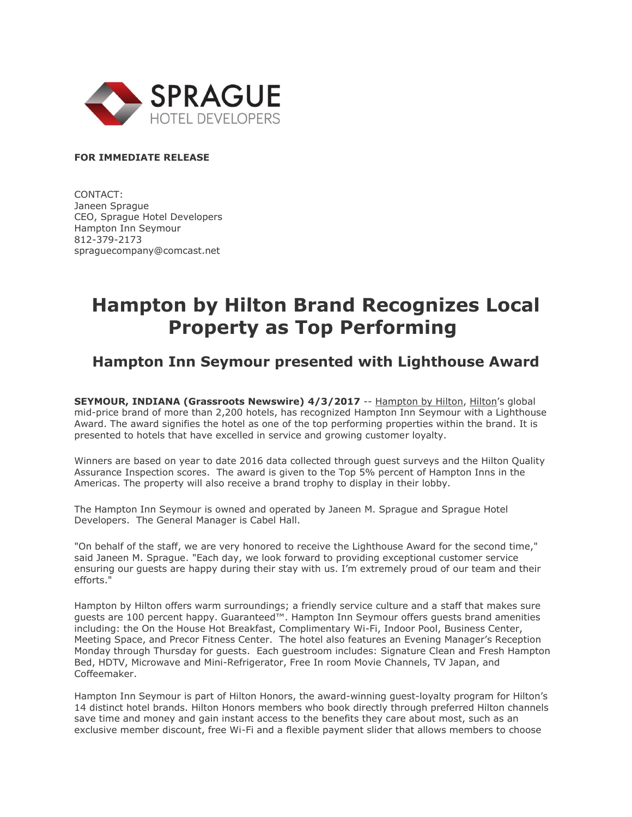

### **FOR IMMEDIATE RELEASE**

CONTACT: Janeen Sprague CEO, Sprague Hotel Developers Hampton Inn Seymour 812-379-2173 spraguecompany@comcast.net

# **Hampton by Hilton Brand Recognizes Local Property as Top Performing**

# **Hampton Inn Seymour presented with Lighthouse Award**

**SEYMOUR, INDIANA (Grassroots Newswire) 4/3/2017** -- [Hampton by Hilton,](http://hamptoninn3.hilton.com/en/index.html) [Hilton](http://www.hiltonworldwide.com/)'s global mid-price brand of more than 2,200 hotels, has recognized Hampton Inn Seymour with a Lighthouse Award. The award signifies the hotel as one of the top performing properties within the brand. It is presented to hotels that have excelled in service and growing customer loyalty.

Winners are based on year to date 2016 data collected through guest surveys and the Hilton Quality Assurance Inspection scores. The award is given to the Top 5% percent of Hampton Inns in the Americas. The property will also receive a brand trophy to display in their lobby.

The Hampton Inn Seymour is owned and operated by Janeen M. Sprague and Sprague Hotel Developers. The General Manager is Cabel Hall.

"On behalf of the staff, we are very honored to receive the Lighthouse Award for the second time," said Janeen M. Sprague. "Each day, we look forward to providing exceptional customer service ensuring our guests are happy during their stay with us. I'm extremely proud of our team and their efforts."

Hampton by Hilton offers warm surroundings; a friendly service culture and a staff that makes sure guests are 100 percent happy. Guaranteed™. Hampton Inn Seymour offers guests brand amenities including: the On the House Hot Breakfast, Complimentary Wi-Fi, Indoor Pool, Business Center, Meeting Space, and Precor Fitness Center. The hotel also features an Evening Manager's Reception Monday through Thursday for guests. Each guestroom includes: Signature Clean and Fresh Hampton Bed, HDTV, Microwave and Mini-Refrigerator, Free In room Movie Channels, TV Japan, and Coffeemaker.

Hampton Inn Seymour is part of Hilton Honors, the award-winning guest-loyalty program for Hilton's 14 distinct hotel brands. Hilton Honors members who book directly through preferred Hilton channels save time and money and gain instant access to the benefits they care about most, such as an exclusive member discount, free Wi-Fi and a flexible payment slider that allows members to choose